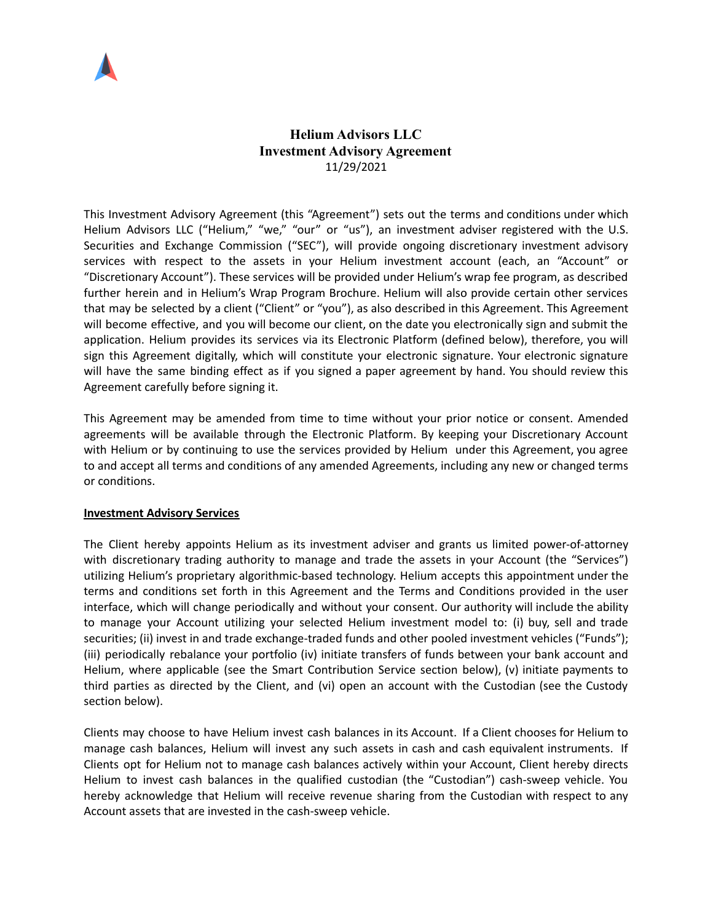

# **Helium Advisors LLC Investment Advisory Agreement** 11/29/2021

This Investment Advisory Agreement (this "Agreement") sets out the terms and conditions under which Helium Advisors LLC ("Helium," "we," "our" or "us"), an investment adviser registered with the U.S. Securities and Exchange Commission ("SEC"), will provide ongoing discretionary investment advisory services with respect to the assets in your Helium investment account (each, an "Account" or "Discretionary Account"). These services will be provided under Helium's wrap fee program, as described further herein and in Helium's Wrap Program Brochure. Helium will also provide certain other services that may be selected by a client ("Client" or "you"), as also described in this Agreement. This Agreement will become effective, and you will become our client, on the date you electronically sign and submit the application. Helium provides its services via its Electronic Platform (defined below), therefore, you will sign this Agreement digitally, which will constitute your electronic signature. Your electronic signature will have the same binding effect as if you signed a paper agreement by hand. You should review this Agreement carefully before signing it.

This Agreement may be amended from time to time without your prior notice or consent. Amended agreements will be available through the Electronic Platform. By keeping your Discretionary Account with Helium or by continuing to use the services provided by Helium under this Agreement, you agree to and accept all terms and conditions of any amended Agreements, including any new or changed terms or conditions.

# **Investment Advisory Services**

The Client hereby appoints Helium as its investment adviser and grants us limited power-of-attorney with discretionary trading authority to manage and trade the assets in your Account (the "Services") utilizing Helium's proprietary algorithmic-based technology. Helium accepts this appointment under the terms and conditions set forth in this Agreement and the Terms and Conditions provided in the user interface, which will change periodically and without your consent. Our authority will include the ability to manage your Account utilizing your selected Helium investment model to: (i) buy, sell and trade securities; (ii) invest in and trade exchange-traded funds and other pooled investment vehicles ("Funds"); (iii) periodically rebalance your portfolio (iv) initiate transfers of funds between your bank account and Helium, where applicable (see the Smart Contribution Service section below), (v) initiate payments to third parties as directed by the Client, and (vi) open an account with the Custodian (see the Custody section below).

Clients may choose to have Helium invest cash balances in its Account. If a Client chooses for Helium to manage cash balances, Helium will invest any such assets in cash and cash equivalent instruments. If Clients opt for Helium not to manage cash balances actively within your Account, Client hereby directs Helium to invest cash balances in the qualified custodian (the "Custodian") cash-sweep vehicle. You hereby acknowledge that Helium will receive revenue sharing from the Custodian with respect to any Account assets that are invested in the cash-sweep vehicle.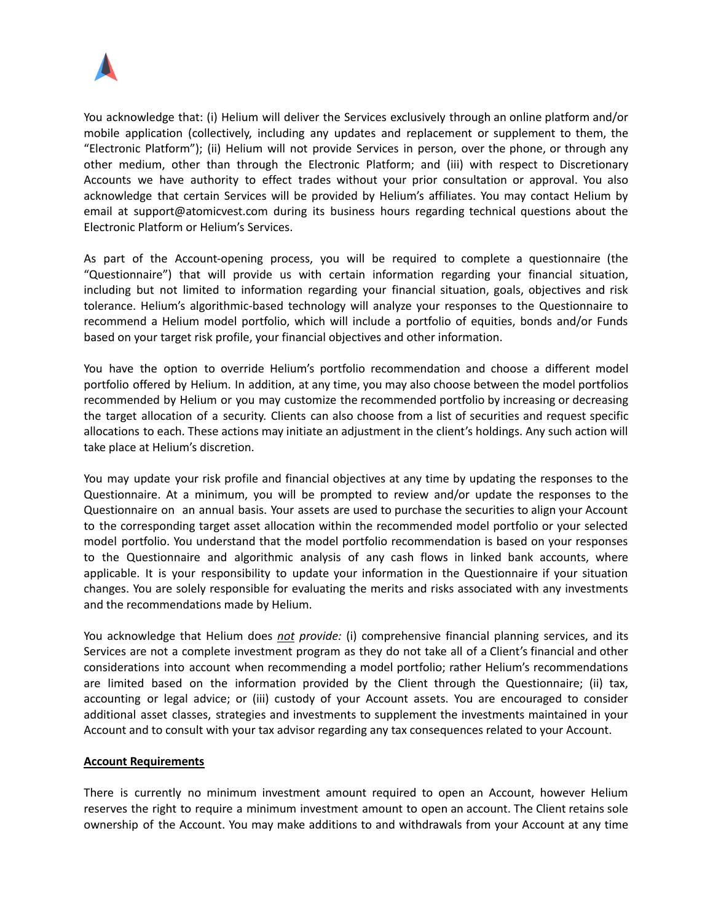

You acknowledge that: (i) Helium will deliver the Services exclusively through an online platform and/or mobile application (collectively, including any updates and replacement or supplement to them, the "Electronic Platform"); (ii) Helium will not provide Services in person, over the phone, or through any other medium, other than through the Electronic Platform; and (iii) with respect to Discretionary Accounts we have authority to effect trades without your prior consultation or approval. You also acknowledge that certain Services will be provided by Helium's affiliates. You may contact Helium by email at support@atomicvest.com during its business hours regarding technical questions about the Electronic Platform or Helium's Services.

As part of the Account-opening process, you will be required to complete a questionnaire (the "Questionnaire") that will provide us with certain information regarding your financial situation, including but not limited to information regarding your financial situation, goals, objectives and risk tolerance. Helium's algorithmic-based technology will analyze your responses to the Questionnaire to recommend a Helium model portfolio, which will include a portfolio of equities, bonds and/or Funds based on your target risk profile, your financial objectives and other information.

You have the option to override Helium's portfolio recommendation and choose a different model portfolio offered by Helium. In addition, at any time, you may also choose between the model portfolios recommended by Helium or you may customize the recommended portfolio by increasing or decreasing the target allocation of a security. Clients can also choose from a list of securities and request specific allocations to each. These actions may initiate an adjustment in the client's holdings. Any such action will take place at Helium's discretion.

You may update your risk profile and financial objectives at any time by updating the responses to the Questionnaire. At a minimum, you will be prompted to review and/or update the responses to the Questionnaire on an annual basis. Your assets are used to purchase the securities to align your Account to the corresponding target asset allocation within the recommended model portfolio or your selected model portfolio. You understand that the model portfolio recommendation is based on your responses to the Questionnaire and algorithmic analysis of any cash flows in linked bank accounts, where applicable. It is your responsibility to update your information in the Questionnaire if your situation changes. You are solely responsible for evaluating the merits and risks associated with any investments and the recommendations made by Helium.

You acknowledge that Helium does *not provide:* (i) comprehensive financial planning services, and its Services are not a complete investment program as they do not take all of a Client's financial and other considerations into account when recommending a model portfolio; rather Helium's recommendations are limited based on the information provided by the Client through the Questionnaire; (ii) tax, accounting or legal advice; or (iii) custody of your Account assets. You are encouraged to consider additional asset classes, strategies and investments to supplement the investments maintained in your Account and to consult with your tax advisor regarding any tax consequences related to your Account.

#### **Account Requirements**

There is currently no minimum investment amount required to open an Account, however Helium reserves the right to require a minimum investment amount to open an account. The Client retains sole ownership of the Account. You may make additions to and withdrawals from your Account at any time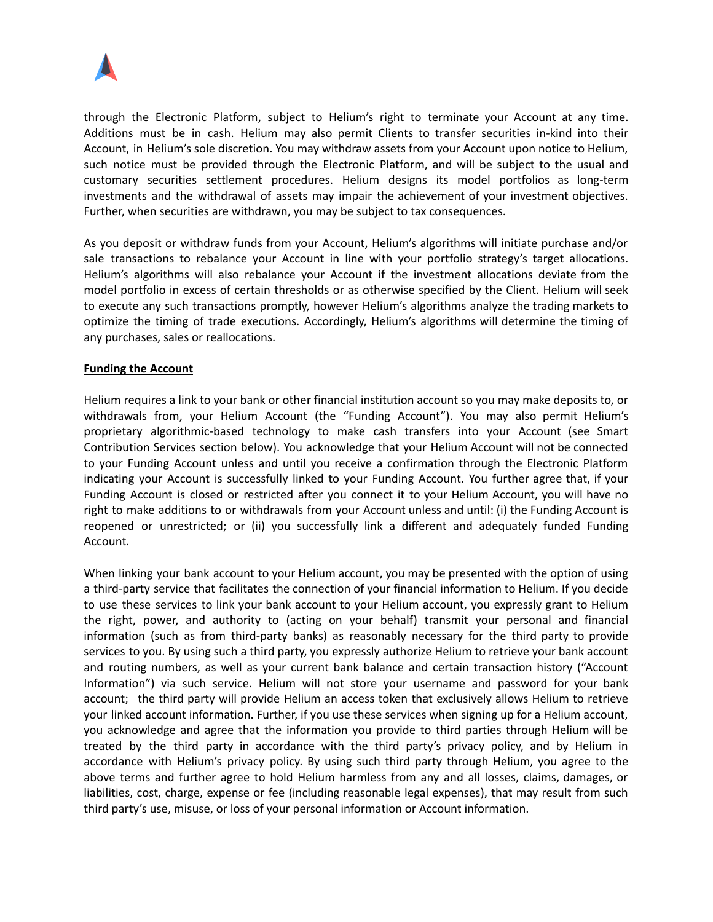

through the Electronic Platform, subject to Helium's right to terminate your Account at any time. Additions must be in cash. Helium may also permit Clients to transfer securities in-kind into their Account, in Helium's sole discretion. You may withdraw assets from your Account upon notice to Helium, such notice must be provided through the Electronic Platform, and will be subject to the usual and customary securities settlement procedures. Helium designs its model portfolios as long-term investments and the withdrawal of assets may impair the achievement of your investment objectives. Further, when securities are withdrawn, you may be subject to tax consequences.

As you deposit or withdraw funds from your Account, Helium's algorithms will initiate purchase and/or sale transactions to rebalance your Account in line with your portfolio strategy's target allocations. Helium's algorithms will also rebalance your Account if the investment allocations deviate from the model portfolio in excess of certain thresholds or as otherwise specified by the Client. Helium will seek to execute any such transactions promptly, however Helium's algorithms analyze the trading markets to optimize the timing of trade executions. Accordingly, Helium's algorithms will determine the timing of any purchases, sales or reallocations.

### **Funding the Account**

Helium requires a link to your bank or other financial institution account so you may make deposits to, or withdrawals from, your Helium Account (the "Funding Account"). You may also permit Helium's proprietary algorithmic-based technology to make cash transfers into your Account (see Smart Contribution Services section below). You acknowledge that your Helium Account will not be connected to your Funding Account unless and until you receive a confirmation through the Electronic Platform indicating your Account is successfully linked to your Funding Account. You further agree that, if your Funding Account is closed or restricted after you connect it to your Helium Account, you will have no right to make additions to or withdrawals from your Account unless and until: (i) the Funding Account is reopened or unrestricted; or (ii) you successfully link a different and adequately funded Funding Account.

When linking your bank account to your Helium account, you may be presented with the option of using a third-party service that facilitates the connection of your financial information to Helium. If you decide to use these services to link your bank account to your Helium account, you expressly grant to Helium the right, power, and authority to (acting on your behalf) transmit your personal and financial information (such as from third-party banks) as reasonably necessary for the third party to provide services to you. By using such a third party, you expressly authorize Helium to retrieve your bank account and routing numbers, as well as your current bank balance and certain transaction history ("Account Information") via such service. Helium will not store your username and password for your bank account; the third party will provide Helium an access token that exclusively allows Helium to retrieve your linked account information. Further, if you use these services when signing up for a Helium account, you acknowledge and agree that the information you provide to third parties through Helium will be treated by the third party in accordance with the third party's privacy policy, and by Helium in accordance with Helium's privacy policy. By using such third party through Helium, you agree to the above terms and further agree to hold Helium harmless from any and all losses, claims, damages, or liabilities, cost, charge, expense or fee (including reasonable legal expenses), that may result from such third party's use, misuse, or loss of your personal information or Account information.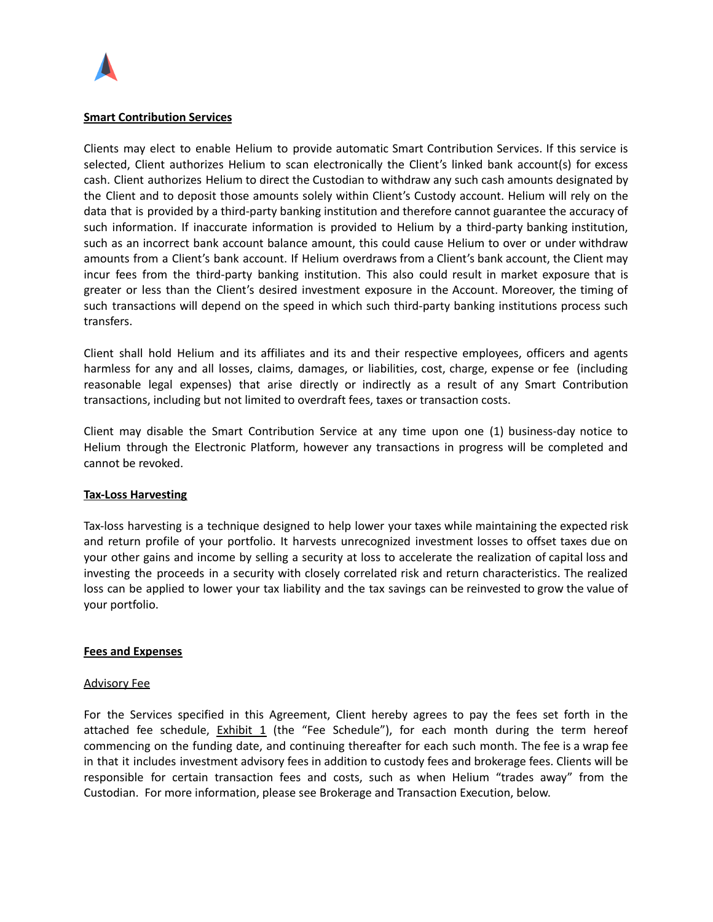

#### **Smart Contribution Services**

Clients may elect to enable Helium to provide automatic Smart Contribution Services. If this service is selected, Client authorizes Helium to scan electronically the Client's linked bank account(s) for excess cash. Client authorizes Helium to direct the Custodian to withdraw any such cash amounts designated by the Client and to deposit those amounts solely within Client's Custody account. Helium will rely on the data that is provided by a third-party banking institution and therefore cannot guarantee the accuracy of such information. If inaccurate information is provided to Helium by a third-party banking institution, such as an incorrect bank account balance amount, this could cause Helium to over or under withdraw amounts from a Client's bank account. If Helium overdraws from a Client's bank account, the Client may incur fees from the third-party banking institution. This also could result in market exposure that is greater or less than the Client's desired investment exposure in the Account. Moreover, the timing of such transactions will depend on the speed in which such third-party banking institutions process such transfers.

Client shall hold Helium and its affiliates and its and their respective employees, officers and agents harmless for any and all losses, claims, damages, or liabilities, cost, charge, expense or fee (including reasonable legal expenses) that arise directly or indirectly as a result of any Smart Contribution transactions, including but not limited to overdraft fees, taxes or transaction costs.

Client may disable the Smart Contribution Service at any time upon one (1) business-day notice to Helium through the Electronic Platform, however any transactions in progress will be completed and cannot be revoked.

#### **Tax-Loss Harvesting**

Tax-loss harvesting is a technique designed to help lower your taxes while maintaining the expected risk and return profile of your portfolio. It harvests unrecognized investment losses to offset taxes due on your other gains and income by selling a security at loss to accelerate the realization of capital loss and investing the proceeds in a security with closely correlated risk and return characteristics. The realized loss can be applied to lower your tax liability and the tax savings can be reinvested to grow the value of your portfolio.

#### **Fees and Expenses**

#### Advisory Fee

For the Services specified in this Agreement, Client hereby agrees to pay the fees set forth in the attached fee schedule,  $Exhibit 1$  (the "Fee Schedule"), for each month during the term hereof commencing on the funding date, and continuing thereafter for each such month. The fee is a wrap fee in that it includes investment advisory fees in addition to custody fees and brokerage fees. Clients will be responsible for certain transaction fees and costs, such as when Helium "trades away" from the Custodian. For more information, please see Brokerage and Transaction Execution, below.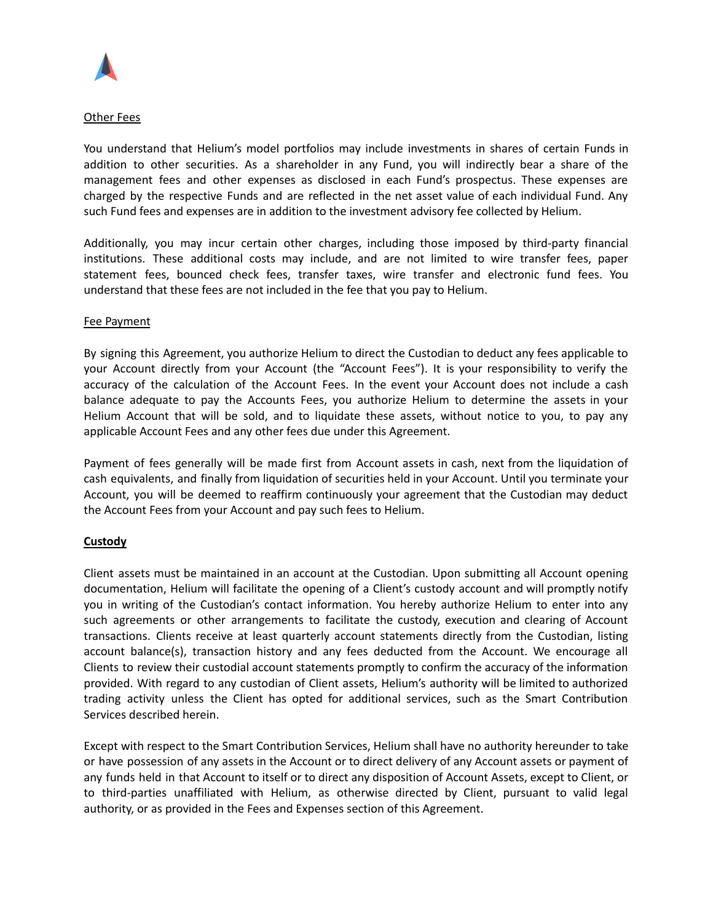

### Other Fees

You understand that Helium's model portfolios may include investments in shares of certain Funds in addition to other securities. As a shareholder in any Fund, you will indirectly bear a share of the management fees and other expenses as disclosed in each Fund's prospectus. These expenses are charged by the respective Funds and are reflected in the net asset value of each individual Fund. Any such Fund fees and expenses are in addition to the investment advisory fee collected by Helium.

Additionally, you may incur certain other charges, including those imposed by third-party financial institutions. These additional costs may include, and are not limited to wire transfer fees, paper statement fees, bounced check fees, transfer taxes, wire transfer and electronic fund fees. You understand that these fees are not included in the fee that you pay to Helium.

#### Fee Payment

By signing this Agreement, you authorize Helium to direct the Custodian to deduct any fees applicable to your Account directly from your Account (the "Account Fees"). It is your responsibility to verify the accuracy of the calculation of the Account Fees. In the event your Account does not include a cash balance adequate to pay the Accounts Fees, you authorize Helium to determine the assets in your Helium Account that will be sold, and to liquidate these assets, without notice to you, to pay any applicable Account Fees and any other fees due under this Agreement.

Payment of fees generally will be made first from Account assets in cash, next from the liquidation of cash equivalents, and finally from liquidation of securities held in your Account. Until you terminate your Account, you will be deemed to reaffirm continuously your agreement that the Custodian may deduct the Account Fees from your Account and pay such fees to Helium.

# **Custody**

Client assets must be maintained in an account at the Custodian. Upon submitting all Account opening documentation, Helium will facilitate the opening of a Client's custody account and will promptly notify you in writing of the Custodian's contact information. You hereby authorize Helium to enter into any such agreements or other arrangements to facilitate the custody, execution and clearing of Account transactions. Clients receive at least quarterly account statements directly from the Custodian, listing account balance(s), transaction history and any fees deducted from the Account. We encourage all Clients to review their custodial account statements promptly to confirm the accuracy of the information provided. With regard to any custodian of Client assets, Helium's authority will be limited to authorized trading activity unless the Client has opted for additional services, such as the Smart Contribution Services described herein.

Except with respect to the Smart Contribution Services, Helium shall have no authority hereunder to take or have possession of any assets in the Account or to direct delivery of any Account assets or payment of any funds held in that Account to itself or to direct any disposition of Account Assets, except to Client, or to third-parties unaffiliated with Helium, as otherwise directed by Client, pursuant to valid legal authority, or as provided in the Fees and Expenses section of this Agreement.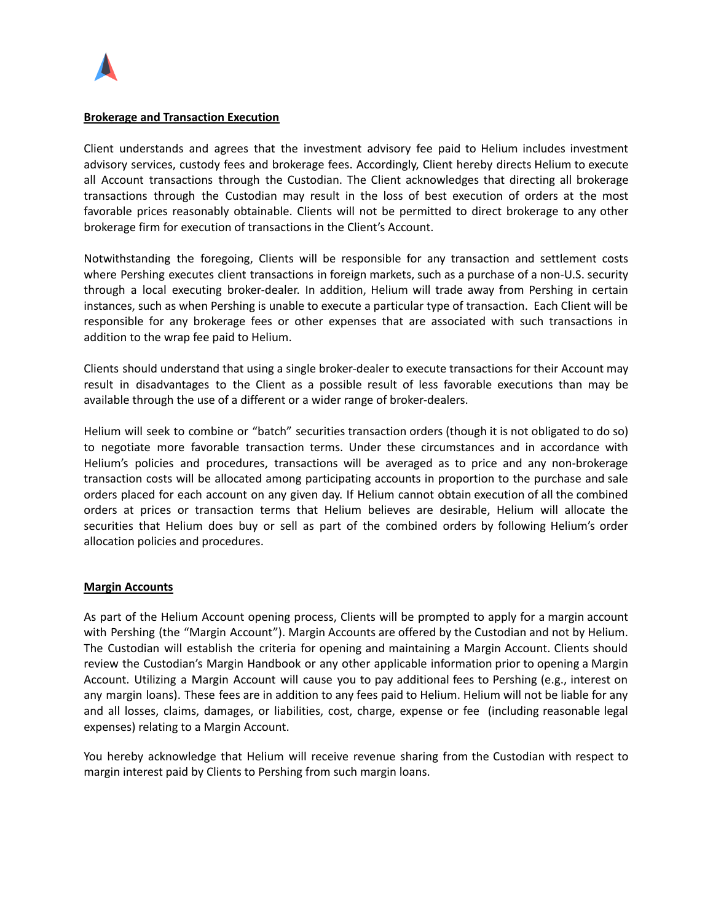

#### **Brokerage and Transaction Execution**

Client understands and agrees that the investment advisory fee paid to Helium includes investment advisory services, custody fees and brokerage fees. Accordingly, Client hereby directs Helium to execute all Account transactions through the Custodian. The Client acknowledges that directing all brokerage transactions through the Custodian may result in the loss of best execution of orders at the most favorable prices reasonably obtainable. Clients will not be permitted to direct brokerage to any other brokerage firm for execution of transactions in the Client's Account.

Notwithstanding the foregoing, Clients will be responsible for any transaction and settlement costs where Pershing executes client transactions in foreign markets, such as a purchase of a non-U.S. security through a local executing broker-dealer. In addition, Helium will trade away from Pershing in certain instances, such as when Pershing is unable to execute a particular type of transaction. Each Client will be responsible for any brokerage fees or other expenses that are associated with such transactions in addition to the wrap fee paid to Helium.

Clients should understand that using a single broker-dealer to execute transactions for their Account may result in disadvantages to the Client as a possible result of less favorable executions than may be available through the use of a different or a wider range of broker-dealers.

Helium will seek to combine or "batch" securities transaction orders (though it is not obligated to do so) to negotiate more favorable transaction terms. Under these circumstances and in accordance with Helium's policies and procedures, transactions will be averaged as to price and any non-brokerage transaction costs will be allocated among participating accounts in proportion to the purchase and sale orders placed for each account on any given day. If Helium cannot obtain execution of all the combined orders at prices or transaction terms that Helium believes are desirable, Helium will allocate the securities that Helium does buy or sell as part of the combined orders by following Helium's order allocation policies and procedures.

### **Margin Accounts**

As part of the Helium Account opening process, Clients will be prompted to apply for a margin account with Pershing (the "Margin Account"). Margin Accounts are offered by the Custodian and not by Helium. The Custodian will establish the criteria for opening and maintaining a Margin Account. Clients should review the Custodian's Margin Handbook or any other applicable information prior to opening a Margin Account. Utilizing a Margin Account will cause you to pay additional fees to Pershing (e.g., interest on any margin loans). These fees are in addition to any fees paid to Helium. Helium will not be liable for any and all losses, claims, damages, or liabilities, cost, charge, expense or fee (including reasonable legal expenses) relating to a Margin Account.

You hereby acknowledge that Helium will receive revenue sharing from the Custodian with respect to margin interest paid by Clients to Pershing from such margin loans.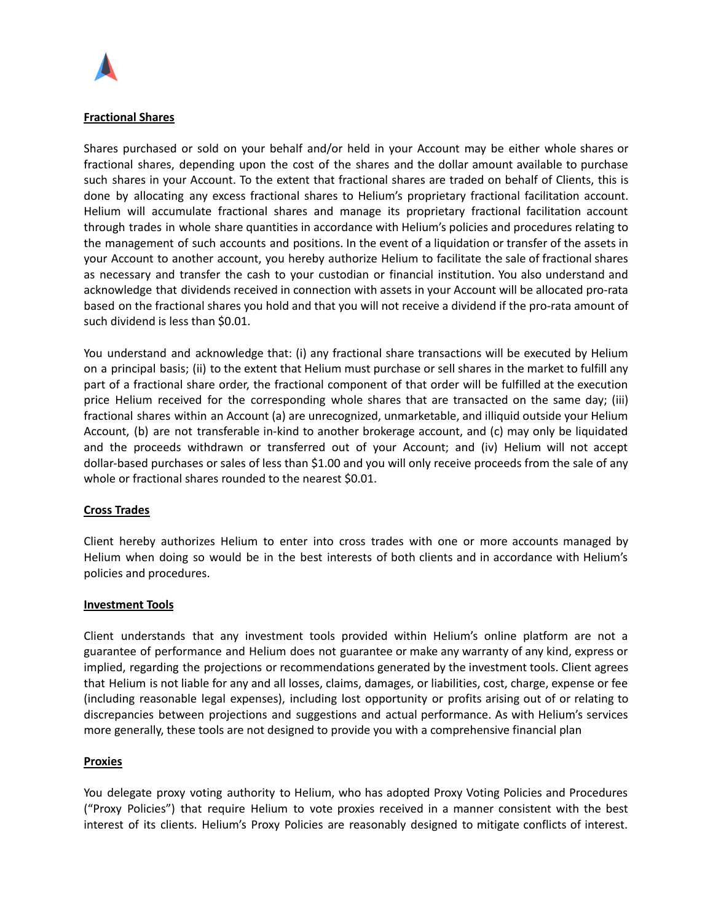

### **Fractional Shares**

Shares purchased or sold on your behalf and/or held in your Account may be either whole shares or fractional shares, depending upon the cost of the shares and the dollar amount available to purchase such shares in your Account. To the extent that fractional shares are traded on behalf of Clients, this is done by allocating any excess fractional shares to Helium's proprietary fractional facilitation account. Helium will accumulate fractional shares and manage its proprietary fractional facilitation account through trades in whole share quantities in accordance with Helium's policies and procedures relating to the management of such accounts and positions. In the event of a liquidation or transfer of the assets in your Account to another account, you hereby authorize Helium to facilitate the sale of fractional shares as necessary and transfer the cash to your custodian or financial institution. You also understand and acknowledge that dividends received in connection with assets in your Account will be allocated pro-rata based on the fractional shares you hold and that you will not receive a dividend if the pro-rata amount of such dividend is less than \$0.01.

You understand and acknowledge that: (i) any fractional share transactions will be executed by Helium on a principal basis; (ii) to the extent that Helium must purchase or sell shares in the market to fulfill any part of a fractional share order, the fractional component of that order will be fulfilled at the execution price Helium received for the corresponding whole shares that are transacted on the same day; (iii) fractional shares within an Account (a) are unrecognized, unmarketable, and illiquid outside your Helium Account, (b) are not transferable in-kind to another brokerage account, and (c) may only be liquidated and the proceeds withdrawn or transferred out of your Account; and (iv) Helium will not accept dollar-based purchases or sales of less than \$1.00 and you will only receive proceeds from the sale of any whole or fractional shares rounded to the nearest \$0.01.

#### **Cross Trades**

Client hereby authorizes Helium to enter into cross trades with one or more accounts managed by Helium when doing so would be in the best interests of both clients and in accordance with Helium's policies and procedures.

#### **Investment Tools**

Client understands that any investment tools provided within Helium's online platform are not a guarantee of performance and Helium does not guarantee or make any warranty of any kind, express or implied, regarding the projections or recommendations generated by the investment tools. Client agrees that Helium is not liable for any and all losses, claims, damages, or liabilities, cost, charge, expense or fee (including reasonable legal expenses), including lost opportunity or profits arising out of or relating to discrepancies between projections and suggestions and actual performance. As with Helium's services more generally, these tools are not designed to provide you with a comprehensive financial plan

#### **Proxies**

You delegate proxy voting authority to Helium, who has adopted Proxy Voting Policies and Procedures ("Proxy Policies") that require Helium to vote proxies received in a manner consistent with the best interest of its clients. Helium's Proxy Policies are reasonably designed to mitigate conflicts of interest.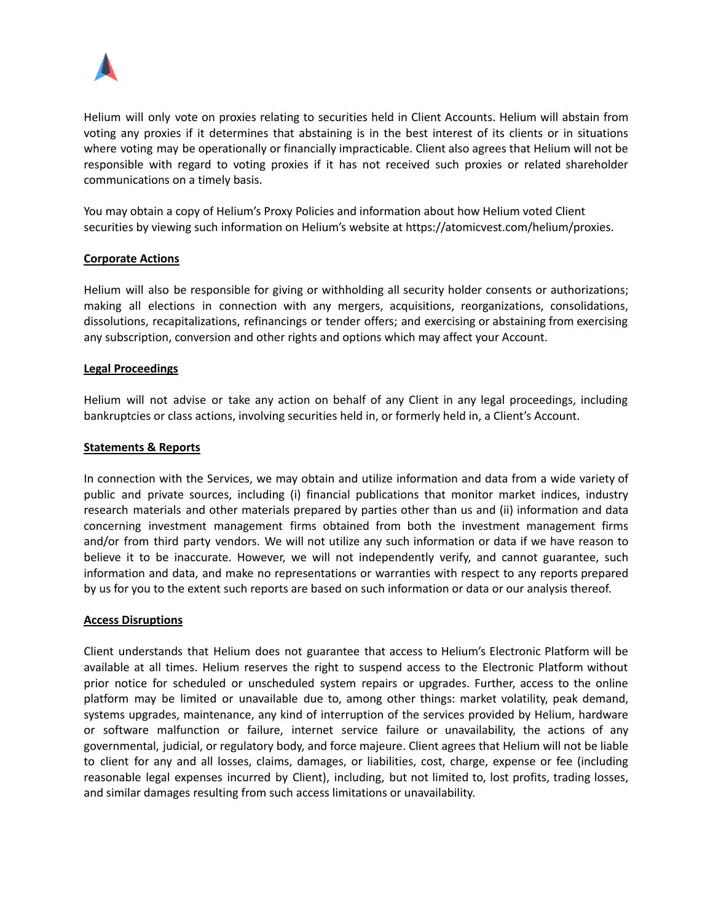

Helium will only vote on proxies relating to securities held in Client Accounts. Helium will abstain from voting any proxies if it determines that abstaining is in the best interest of its clients or in situations where voting may be operationally or financially impracticable. Client also agrees that Helium will not be responsible with regard to voting proxies if it has not received such proxies or related shareholder communications on a timely basis.

You may obtain a copy of Helium's Proxy Policies and information about how Helium voted Client securities by viewing such information on Helium's website at https://atomicvest.com/helium/proxies.

### **Corporate Actions**

Helium will also be responsible for giving or withholding all security holder consents or authorizations; making all elections in connection with any mergers, acquisitions, reorganizations, consolidations, dissolutions, recapitalizations, refinancings or tender offers; and exercising or abstaining from exercising any subscription, conversion and other rights and options which may affect your Account.

### **Legal Proceedings**

Helium will not advise or take any action on behalf of any Client in any legal proceedings, including bankruptcies or class actions, involving securities held in, or formerly held in, a Client's Account.

### **Statements & Reports**

In connection with the Services, we may obtain and utilize information and data from a wide variety of public and private sources, including (i) financial publications that monitor market indices, industry research materials and other materials prepared by parties other than us and (ii) information and data concerning investment management firms obtained from both the investment management firms and/or from third party vendors. We will not utilize any such information or data if we have reason to believe it to be inaccurate. However, we will not independently verify, and cannot guarantee, such information and data, and make no representations or warranties with respect to any reports prepared by us for you to the extent such reports are based on such information or data or our analysis thereof.

#### **Access Disruptions**

Client understands that Helium does not guarantee that access to Helium's Electronic Platform will be available at all times. Helium reserves the right to suspend access to the Electronic Platform without prior notice for scheduled or unscheduled system repairs or upgrades. Further, access to the online platform may be limited or unavailable due to, among other things: market volatility, peak demand, systems upgrades, maintenance, any kind of interruption of the services provided by Helium, hardware or software malfunction or failure, internet service failure or unavailability, the actions of any governmental, judicial, or regulatory body, and force majeure. Client agrees that Helium will not be liable to client for any and all losses, claims, damages, or liabilities, cost, charge, expense or fee (including reasonable legal expenses incurred by Client), including, but not limited to, lost profits, trading losses, and similar damages resulting from such access limitations or unavailability.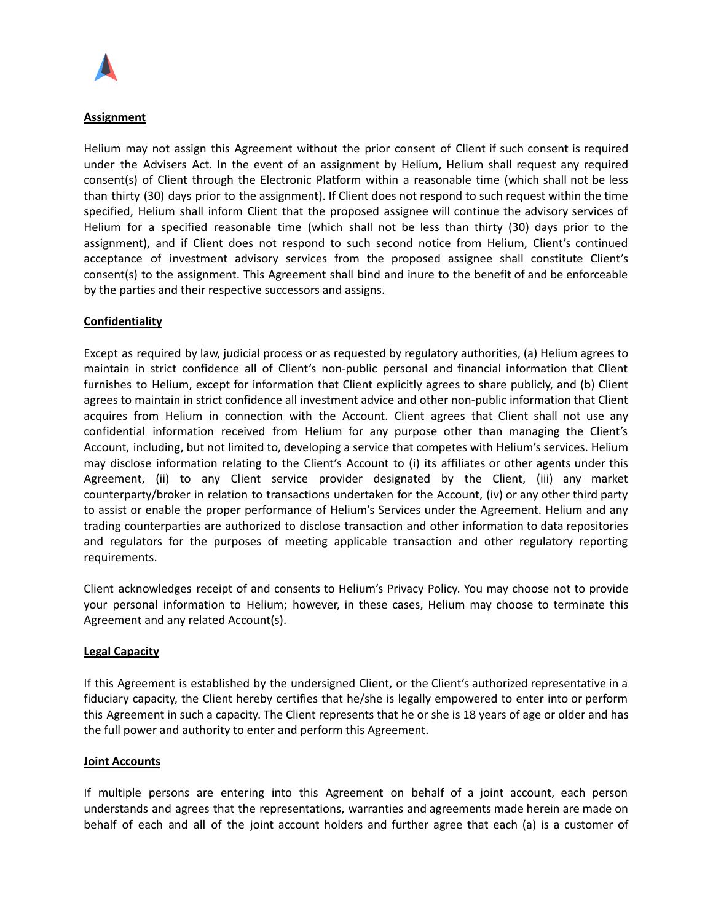

# **Assignment**

Helium may not assign this Agreement without the prior consent of Client if such consent is required under the Advisers Act. In the event of an assignment by Helium, Helium shall request any required consent(s) of Client through the Electronic Platform within a reasonable time (which shall not be less than thirty (30) days prior to the assignment). If Client does not respond to such request within the time specified, Helium shall inform Client that the proposed assignee will continue the advisory services of Helium for a specified reasonable time (which shall not be less than thirty (30) days prior to the assignment), and if Client does not respond to such second notice from Helium, Client's continued acceptance of investment advisory services from the proposed assignee shall constitute Client's consent(s) to the assignment. This Agreement shall bind and inure to the benefit of and be enforceable by the parties and their respective successors and assigns.

### **Confidentiality**

Except as required by law, judicial process or as requested by regulatory authorities, (a) Helium agrees to maintain in strict confidence all of Client's non-public personal and financial information that Client furnishes to Helium, except for information that Client explicitly agrees to share publicly, and (b) Client agrees to maintain in strict confidence all investment advice and other non-public information that Client acquires from Helium in connection with the Account. Client agrees that Client shall not use any confidential information received from Helium for any purpose other than managing the Client's Account, including, but not limited to, developing a service that competes with Helium's services. Helium may disclose information relating to the Client's Account to (i) its affiliates or other agents under this Agreement, (ii) to any Client service provider designated by the Client, (iii) any market counterparty/broker in relation to transactions undertaken for the Account, (iv) or any other third party to assist or enable the proper performance of Helium's Services under the Agreement. Helium and any trading counterparties are authorized to disclose transaction and other information to data repositories and regulators for the purposes of meeting applicable transaction and other regulatory reporting requirements.

Client acknowledges receipt of and consents to Helium's Privacy Policy. You may choose not to provide your personal information to Helium; however, in these cases, Helium may choose to terminate this Agreement and any related Account(s).

#### **Legal Capacity**

If this Agreement is established by the undersigned Client, or the Client's authorized representative in a fiduciary capacity, the Client hereby certifies that he/she is legally empowered to enter into or perform this Agreement in such a capacity. The Client represents that he or she is 18 years of age or older and has the full power and authority to enter and perform this Agreement.

#### **Joint Accounts**

If multiple persons are entering into this Agreement on behalf of a joint account, each person understands and agrees that the representations, warranties and agreements made herein are made on behalf of each and all of the joint account holders and further agree that each (a) is a customer of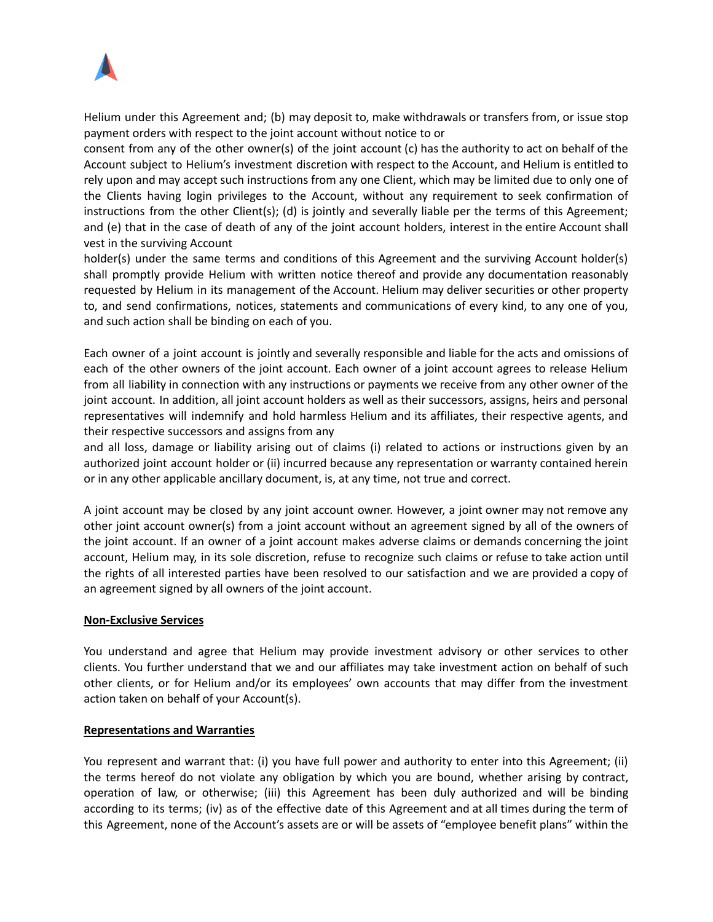

Helium under this Agreement and; (b) may deposit to, make withdrawals or transfers from, or issue stop payment orders with respect to the joint account without notice to or

consent from any of the other owner(s) of the joint account (c) has the authority to act on behalf of the Account subject to Helium's investment discretion with respect to the Account, and Helium is entitled to rely upon and may accept such instructions from any one Client, which may be limited due to only one of the Clients having login privileges to the Account, without any requirement to seek confirmation of instructions from the other Client(s); (d) is jointly and severally liable per the terms of this Agreement; and (e) that in the case of death of any of the joint account holders, interest in the entire Account shall vest in the surviving Account

holder(s) under the same terms and conditions of this Agreement and the surviving Account holder(s) shall promptly provide Helium with written notice thereof and provide any documentation reasonably requested by Helium in its management of the Account. Helium may deliver securities or other property to, and send confirmations, notices, statements and communications of every kind, to any one of you, and such action shall be binding on each of you.

Each owner of a joint account is jointly and severally responsible and liable for the acts and omissions of each of the other owners of the joint account. Each owner of a joint account agrees to release Helium from all liability in connection with any instructions or payments we receive from any other owner of the joint account. In addition, all joint account holders as well as their successors, assigns, heirs and personal representatives will indemnify and hold harmless Helium and its affiliates, their respective agents, and their respective successors and assigns from any

and all loss, damage or liability arising out of claims (i) related to actions or instructions given by an authorized joint account holder or (ii) incurred because any representation or warranty contained herein or in any other applicable ancillary document, is, at any time, not true and correct.

A joint account may be closed by any joint account owner. However, a joint owner may not remove any other joint account owner(s) from a joint account without an agreement signed by all of the owners of the joint account. If an owner of a joint account makes adverse claims or demands concerning the joint account, Helium may, in its sole discretion, refuse to recognize such claims or refuse to take action until the rights of all interested parties have been resolved to our satisfaction and we are provided a copy of an agreement signed by all owners of the joint account.

#### **Non-Exclusive Services**

You understand and agree that Helium may provide investment advisory or other services to other clients. You further understand that we and our affiliates may take investment action on behalf of such other clients, or for Helium and/or its employees' own accounts that may differ from the investment action taken on behalf of your Account(s).

#### **Representations and Warranties**

You represent and warrant that: (i) you have full power and authority to enter into this Agreement; (ii) the terms hereof do not violate any obligation by which you are bound, whether arising by contract, operation of law, or otherwise; (iii) this Agreement has been duly authorized and will be binding according to its terms; (iv) as of the effective date of this Agreement and at all times during the term of this Agreement, none of the Account's assets are or will be assets of "employee benefit plans" within the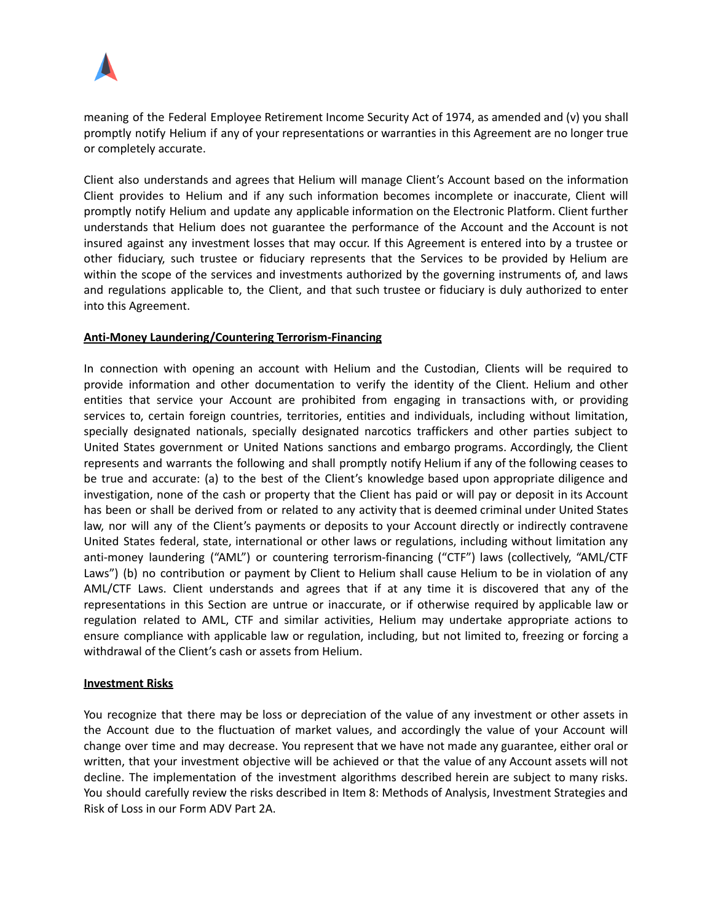

meaning of the Federal Employee Retirement Income Security Act of 1974, as amended and (v) you shall promptly notify Helium if any of your representations or warranties in this Agreement are no longer true or completely accurate.

Client also understands and agrees that Helium will manage Client's Account based on the information Client provides to Helium and if any such information becomes incomplete or inaccurate, Client will promptly notify Helium and update any applicable information on the Electronic Platform. Client further understands that Helium does not guarantee the performance of the Account and the Account is not insured against any investment losses that may occur. If this Agreement is entered into by a trustee or other fiduciary, such trustee or fiduciary represents that the Services to be provided by Helium are within the scope of the services and investments authorized by the governing instruments of, and laws and regulations applicable to, the Client, and that such trustee or fiduciary is duly authorized to enter into this Agreement.

### **Anti-Money Laundering/Countering Terrorism-Financing**

In connection with opening an account with Helium and the Custodian, Clients will be required to provide information and other documentation to verify the identity of the Client. Helium and other entities that service your Account are prohibited from engaging in transactions with, or providing services to, certain foreign countries, territories, entities and individuals, including without limitation, specially designated nationals, specially designated narcotics traffickers and other parties subject to United States government or United Nations sanctions and embargo programs. Accordingly, the Client represents and warrants the following and shall promptly notify Helium if any of the following ceases to be true and accurate: (a) to the best of the Client's knowledge based upon appropriate diligence and investigation, none of the cash or property that the Client has paid or will pay or deposit in its Account has been or shall be derived from or related to any activity that is deemed criminal under United States law, nor will any of the Client's payments or deposits to your Account directly or indirectly contravene United States federal, state, international or other laws or regulations, including without limitation any anti-money laundering ("AML") or countering terrorism-financing ("CTF") laws (collectively, "AML/CTF Laws") (b) no contribution or payment by Client to Helium shall cause Helium to be in violation of any AML/CTF Laws. Client understands and agrees that if at any time it is discovered that any of the representations in this Section are untrue or inaccurate, or if otherwise required by applicable law or regulation related to AML, CTF and similar activities, Helium may undertake appropriate actions to ensure compliance with applicable law or regulation, including, but not limited to, freezing or forcing a withdrawal of the Client's cash or assets from Helium.

#### **Investment Risks**

You recognize that there may be loss or depreciation of the value of any investment or other assets in the Account due to the fluctuation of market values, and accordingly the value of your Account will change over time and may decrease. You represent that we have not made any guarantee, either oral or written, that your investment objective will be achieved or that the value of any Account assets will not decline. The implementation of the investment algorithms described herein are subject to many risks. You should carefully review the risks described in Item 8: Methods of Analysis, Investment Strategies and Risk of Loss in our Form ADV Part 2A.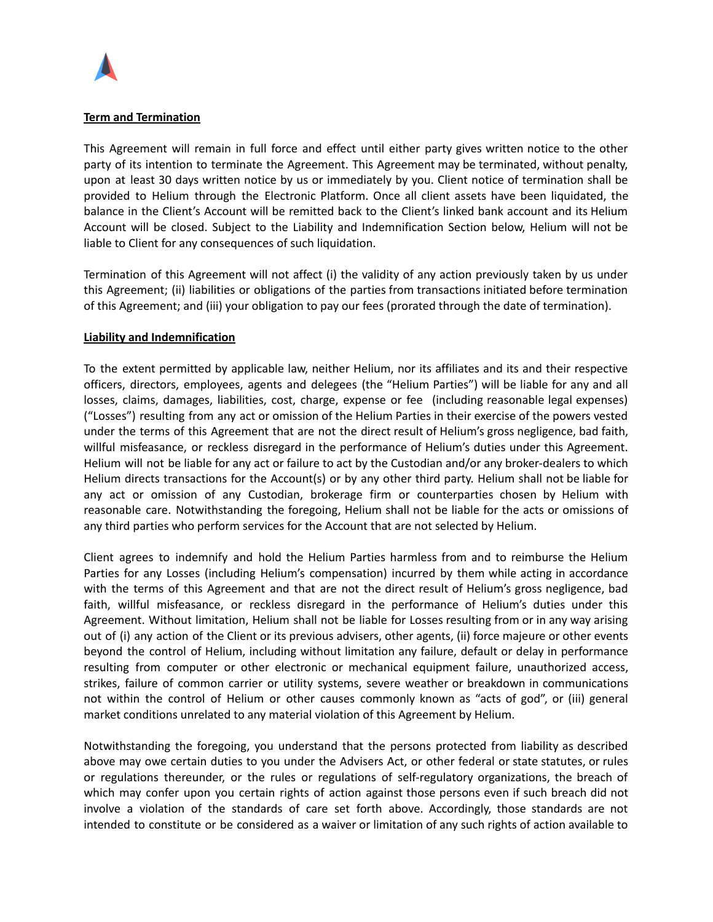

### **Term and Termination**

This Agreement will remain in full force and effect until either party gives written notice to the other party of its intention to terminate the Agreement. This Agreement may be terminated, without penalty, upon at least 30 days written notice by us or immediately by you. Client notice of termination shall be provided to Helium through the Electronic Platform. Once all client assets have been liquidated, the balance in the Client's Account will be remitted back to the Client's linked bank account and its Helium Account will be closed. Subject to the Liability and Indemnification Section below, Helium will not be liable to Client for any consequences of such liquidation.

Termination of this Agreement will not affect (i) the validity of any action previously taken by us under this Agreement; (ii) liabilities or obligations of the parties from transactions initiated before termination of this Agreement; and (iii) your obligation to pay our fees (prorated through the date of termination).

### **Liability and Indemnification**

To the extent permitted by applicable law, neither Helium, nor its affiliates and its and their respective officers, directors, employees, agents and delegees (the "Helium Parties") will be liable for any and all losses, claims, damages, liabilities, cost, charge, expense or fee (including reasonable legal expenses) ("Losses") resulting from any act or omission of the Helium Parties in their exercise of the powers vested under the terms of this Agreement that are not the direct result of Helium's gross negligence, bad faith, willful misfeasance, or reckless disregard in the performance of Helium's duties under this Agreement. Helium will not be liable for any act or failure to act by the Custodian and/or any broker-dealers to which Helium directs transactions for the Account(s) or by any other third party. Helium shall not be liable for any act or omission of any Custodian, brokerage firm or counterparties chosen by Helium with reasonable care. Notwithstanding the foregoing, Helium shall not be liable for the acts or omissions of any third parties who perform services for the Account that are not selected by Helium.

Client agrees to indemnify and hold the Helium Parties harmless from and to reimburse the Helium Parties for any Losses (including Helium's compensation) incurred by them while acting in accordance with the terms of this Agreement and that are not the direct result of Helium's gross negligence, bad faith, willful misfeasance, or reckless disregard in the performance of Helium's duties under this Agreement. Without limitation, Helium shall not be liable for Losses resulting from or in any way arising out of (i) any action of the Client or its previous advisers, other agents, (ii) force majeure or other events beyond the control of Helium, including without limitation any failure, default or delay in performance resulting from computer or other electronic or mechanical equipment failure, unauthorized access, strikes, failure of common carrier or utility systems, severe weather or breakdown in communications not within the control of Helium or other causes commonly known as "acts of god", or (iii) general market conditions unrelated to any material violation of this Agreement by Helium.

Notwithstanding the foregoing, you understand that the persons protected from liability as described above may owe certain duties to you under the Advisers Act, or other federal or state statutes, or rules or regulations thereunder, or the rules or regulations of self-regulatory organizations, the breach of which may confer upon you certain rights of action against those persons even if such breach did not involve a violation of the standards of care set forth above. Accordingly, those standards are not intended to constitute or be considered as a waiver or limitation of any such rights of action available to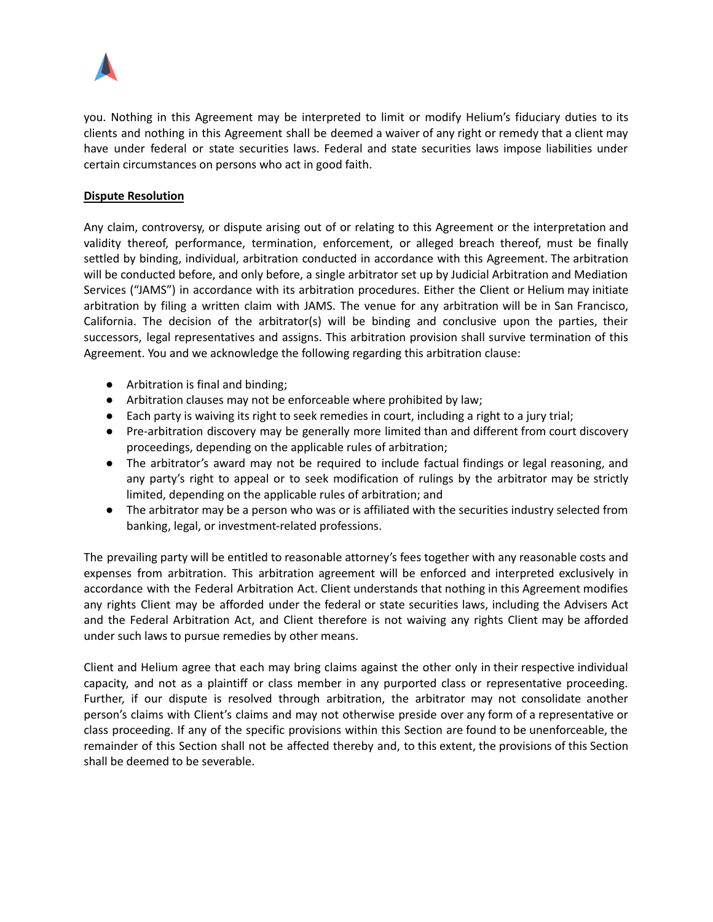

you. Nothing in this Agreement may be interpreted to limit or modify Helium's fiduciary duties to its clients and nothing in this Agreement shall be deemed a waiver of any right or remedy that a client may have under federal or state securities laws. Federal and state securities laws impose liabilities under certain circumstances on persons who act in good faith.

# **Dispute Resolution**

Any claim, controversy, or dispute arising out of or relating to this Agreement or the interpretation and validity thereof, performance, termination, enforcement, or alleged breach thereof, must be finally settled by binding, individual, arbitration conducted in accordance with this Agreement. The arbitration will be conducted before, and only before, a single arbitrator set up by Judicial Arbitration and Mediation Services ("JAMS") in accordance with its arbitration procedures. Either the Client or Helium may initiate arbitration by filing a written claim with JAMS. The venue for any arbitration will be in San Francisco, California. The decision of the arbitrator(s) will be binding and conclusive upon the parties, their successors, legal representatives and assigns. This arbitration provision shall survive termination of this Agreement. You and we acknowledge the following regarding this arbitration clause:

- Arbitration is final and binding;
- Arbitration clauses may not be enforceable where prohibited by law;
- Each party is waiving its right to seek remedies in court, including a right to a jury trial;
- Pre-arbitration discovery may be generally more limited than and different from court discovery proceedings, depending on the applicable rules of arbitration;
- The arbitrator's award may not be required to include factual findings or legal reasoning, and any party's right to appeal or to seek modification of rulings by the arbitrator may be strictly limited, depending on the applicable rules of arbitration; and
- The arbitrator may be a person who was or is affiliated with the securities industry selected from banking, legal, or investment-related professions.

The prevailing party will be entitled to reasonable attorney's fees together with any reasonable costs and expenses from arbitration. This arbitration agreement will be enforced and interpreted exclusively in accordance with the Federal Arbitration Act. Client understands that nothing in this Agreement modifies any rights Client may be afforded under the federal or state securities laws, including the Advisers Act and the Federal Arbitration Act, and Client therefore is not waiving any rights Client may be afforded under such laws to pursue remedies by other means.

Client and Helium agree that each may bring claims against the other only in their respective individual capacity, and not as a plaintiff or class member in any purported class or representative proceeding. Further, if our dispute is resolved through arbitration, the arbitrator may not consolidate another person's claims with Client's claims and may not otherwise preside over any form of a representative or class proceeding. If any of the specific provisions within this Section are found to be unenforceable, the remainder of this Section shall not be affected thereby and, to this extent, the provisions of this Section shall be deemed to be severable.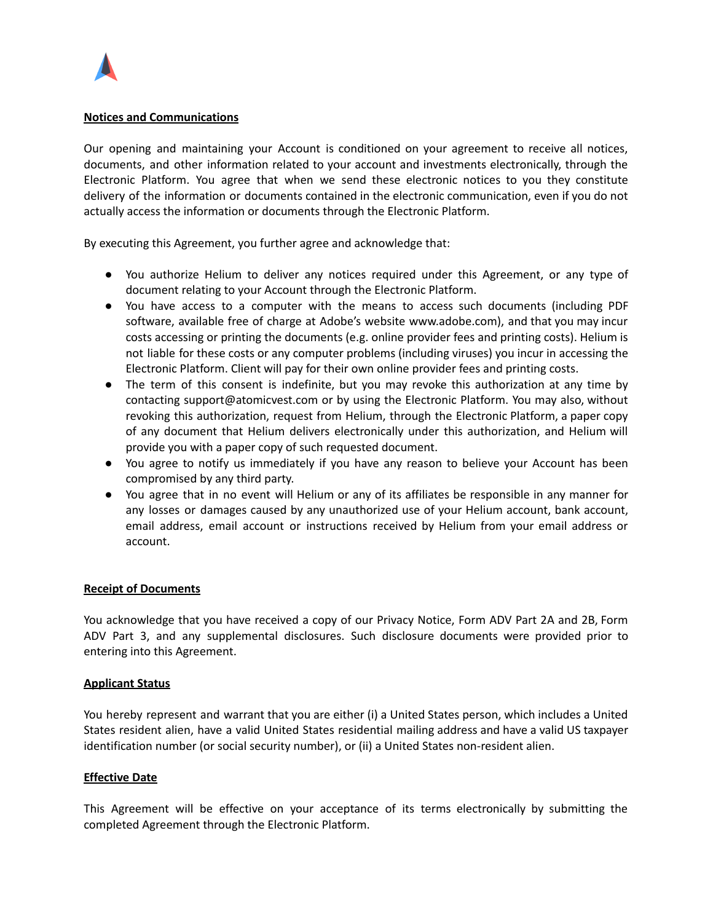

### **Notices and Communications**

Our opening and maintaining your Account is conditioned on your agreement to receive all notices, documents, and other information related to your account and investments electronically, through the Electronic Platform. You agree that when we send these electronic notices to you they constitute delivery of the information or documents contained in the electronic communication, even if you do not actually access the information or documents through the Electronic Platform.

By executing this Agreement, you further agree and acknowledge that:

- You authorize Helium to deliver any notices required under this Agreement, or any type of document relating to your Account through the Electronic Platform.
- You have access to a computer with the means to access such documents (including PDF software, available free of charge at Adobe's website www.adobe.com), and that you may incur costs accessing or printing the documents (e.g. online provider fees and printing costs). Helium is not liable for these costs or any computer problems (including viruses) you incur in accessing the Electronic Platform. Client will pay for their own online provider fees and printing costs.
- The term of this consent is indefinite, but you may revoke this authorization at any time by contacting support@atomicvest.com or by using the Electronic Platform. You may also, without revoking this authorization, request from Helium, through the Electronic Platform, a paper copy of any document that Helium delivers electronically under this authorization, and Helium will provide you with a paper copy of such requested document.
- You agree to notify us immediately if you have any reason to believe your Account has been compromised by any third party.
- You agree that in no event will Helium or any of its affiliates be responsible in any manner for any losses or damages caused by any unauthorized use of your Helium account, bank account, email address, email account or instructions received by Helium from your email address or account.

# **Receipt of Documents**

You acknowledge that you have received a copy of our Privacy Notice, Form ADV Part 2A and 2B, Form ADV Part 3, and any supplemental disclosures. Such disclosure documents were provided prior to entering into this Agreement.

#### **Applicant Status**

You hereby represent and warrant that you are either (i) a United States person, which includes a United States resident alien, have a valid United States residential mailing address and have a valid US taxpayer identification number (or social security number), or (ii) a United States non-resident alien.

#### **Effective Date**

This Agreement will be effective on your acceptance of its terms electronically by submitting the completed Agreement through the Electronic Platform.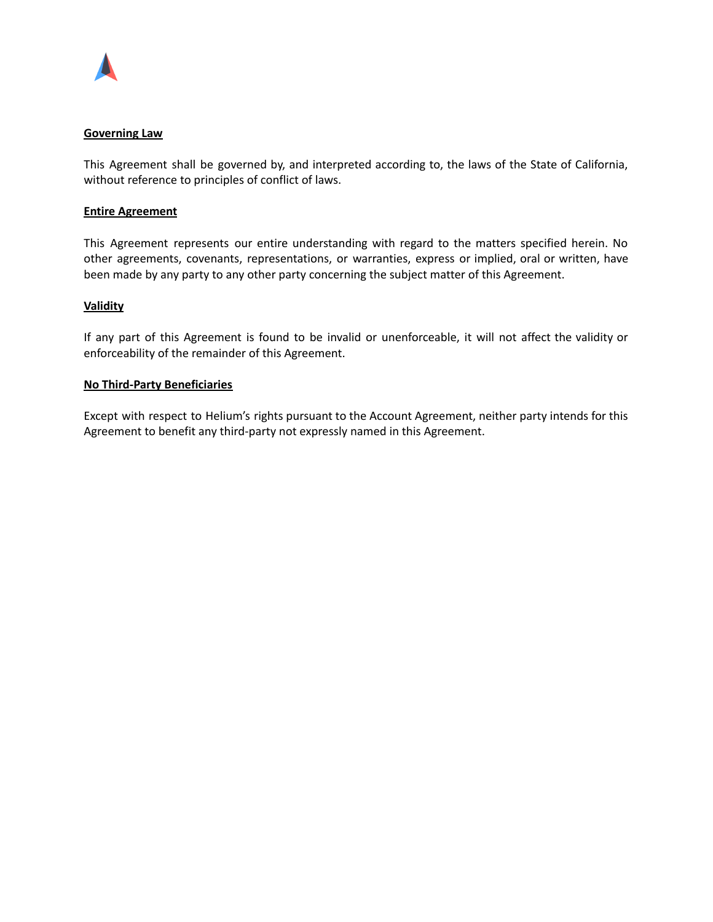

### **Governing Law**

This Agreement shall be governed by, and interpreted according to, the laws of the State of California, without reference to principles of conflict of laws.

### **Entire Agreement**

This Agreement represents our entire understanding with regard to the matters specified herein. No other agreements, covenants, representations, or warranties, express or implied, oral or written, have been made by any party to any other party concerning the subject matter of this Agreement.

### **Validity**

If any part of this Agreement is found to be invalid or unenforceable, it will not affect the validity or enforceability of the remainder of this Agreement.

### **No Third-Party Beneficiaries**

Except with respect to Helium's rights pursuant to the Account Agreement, neither party intends for this Agreement to benefit any third-party not expressly named in this Agreement.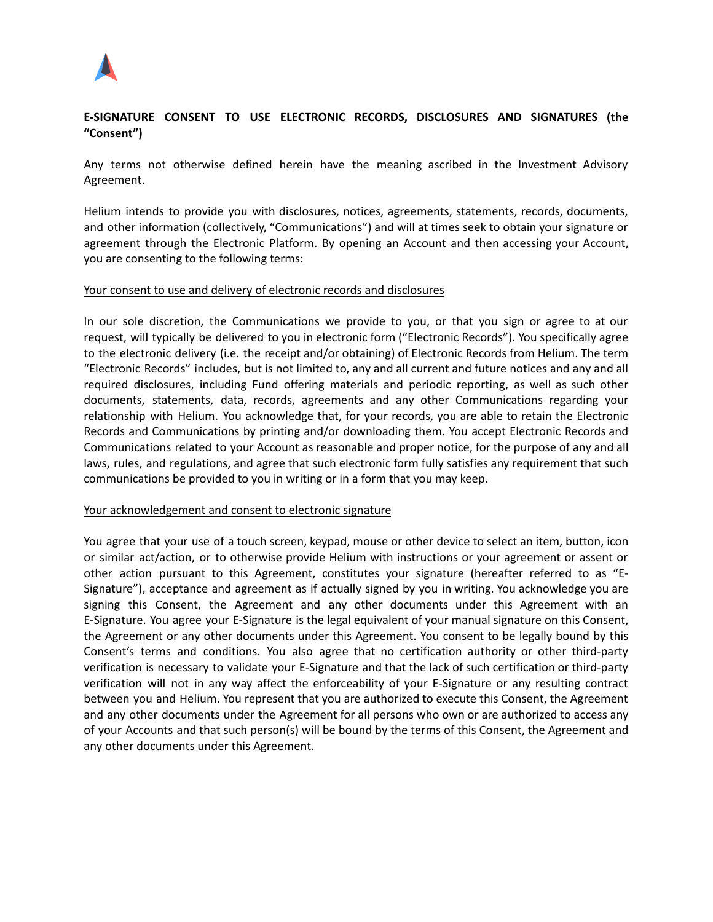

# **E-SIGNATURE CONSENT TO USE ELECTRONIC RECORDS, DISCLOSURES AND SIGNATURES (the "Consent")**

Any terms not otherwise defined herein have the meaning ascribed in the Investment Advisory Agreement.

Helium intends to provide you with disclosures, notices, agreements, statements, records, documents, and other information (collectively, "Communications") and will at times seek to obtain your signature or agreement through the Electronic Platform. By opening an Account and then accessing your Account, you are consenting to the following terms:

#### Your consent to use and delivery of electronic records and disclosures

In our sole discretion, the Communications we provide to you, or that you sign or agree to at our request, will typically be delivered to you in electronic form ("Electronic Records"). You specifically agree to the electronic delivery (i.e. the receipt and/or obtaining) of Electronic Records from Helium. The term "Electronic Records" includes, but is not limited to, any and all current and future notices and any and all required disclosures, including Fund offering materials and periodic reporting, as well as such other documents, statements, data, records, agreements and any other Communications regarding your relationship with Helium. You acknowledge that, for your records, you are able to retain the Electronic Records and Communications by printing and/or downloading them. You accept Electronic Records and Communications related to your Account as reasonable and proper notice, for the purpose of any and all laws, rules, and regulations, and agree that such electronic form fully satisfies any requirement that such communications be provided to you in writing or in a form that you may keep.

#### Your acknowledgement and consent to electronic signature

You agree that your use of a touch screen, keypad, mouse or other device to select an item, button, icon or similar act/action, or to otherwise provide Helium with instructions or your agreement or assent or other action pursuant to this Agreement, constitutes your signature (hereafter referred to as "E-Signature"), acceptance and agreement as if actually signed by you in writing. You acknowledge you are signing this Consent, the Agreement and any other documents under this Agreement with an E-Signature. You agree your E-Signature is the legal equivalent of your manual signature on this Consent, the Agreement or any other documents under this Agreement. You consent to be legally bound by this Consent's terms and conditions. You also agree that no certification authority or other third-party verification is necessary to validate your E-Signature and that the lack of such certification or third-party verification will not in any way affect the enforceability of your E-Signature or any resulting contract between you and Helium. You represent that you are authorized to execute this Consent, the Agreement and any other documents under the Agreement for all persons who own or are authorized to access any of your Accounts and that such person(s) will be bound by the terms of this Consent, the Agreement and any other documents under this Agreement.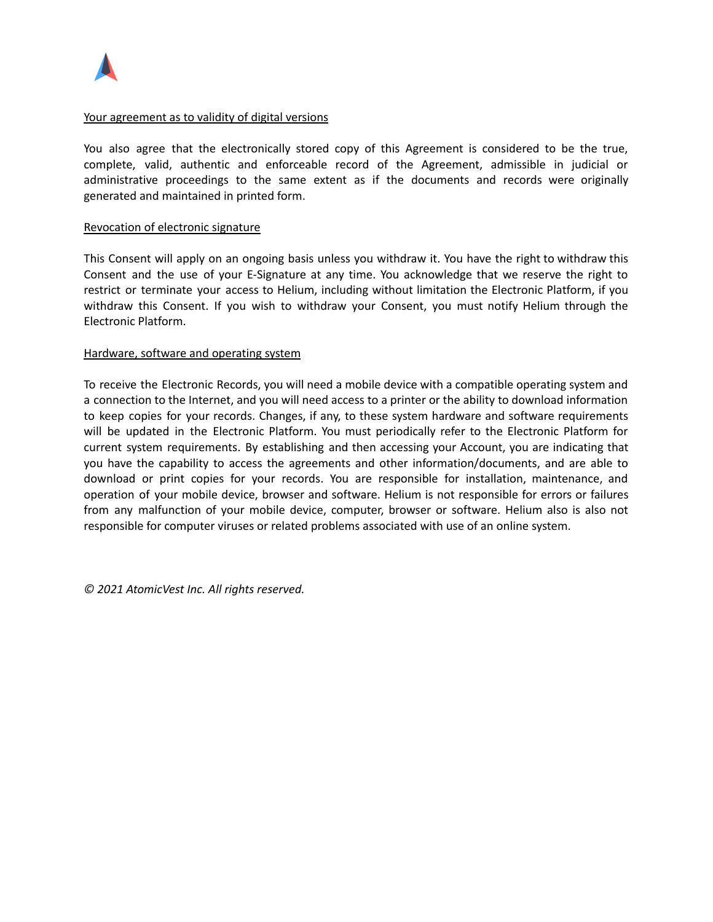

#### Your agreement as to validity of digital versions

You also agree that the electronically stored copy of this Agreement is considered to be the true, complete, valid, authentic and enforceable record of the Agreement, admissible in judicial or administrative proceedings to the same extent as if the documents and records were originally generated and maintained in printed form.

### Revocation of electronic signature

This Consent will apply on an ongoing basis unless you withdraw it. You have the right to withdraw this Consent and the use of your E-Signature at any time. You acknowledge that we reserve the right to restrict or terminate your access to Helium, including without limitation the Electronic Platform, if you withdraw this Consent. If you wish to withdraw your Consent, you must notify Helium through the Electronic Platform.

### Hardware, software and operating system

To receive the Electronic Records, you will need a mobile device with a compatible operating system and a connection to the Internet, and you will need access to a printer or the ability to download information to keep copies for your records. Changes, if any, to these system hardware and software requirements will be updated in the Electronic Platform. You must periodically refer to the Electronic Platform for current system requirements. By establishing and then accessing your Account, you are indicating that you have the capability to access the agreements and other information/documents, and are able to download or print copies for your records. You are responsible for installation, maintenance, and operation of your mobile device, browser and software. Helium is not responsible for errors or failures from any malfunction of your mobile device, computer, browser or software. Helium also is also not responsible for computer viruses or related problems associated with use of an online system.

*© 2021 AtomicVest Inc. All rights reserved.*